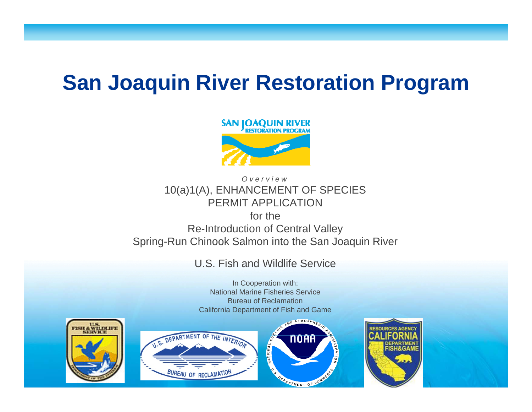## **S J i Ri R t ti P San Joaquin River Res toration Program**



*Overview*10(a)1(A), ENHANCEMENT OF SPECIES PERMIT APPLICATIONfor the Re-Introduction of Central Valley

Spring-Run Chinook Salmon into the San Joaquin River

#### U.S. Fish and Wildlife Service

In Cooperation with: National Marine Fisheries ServiceBureau of ReclamationCalifornia Department of Fish and Game





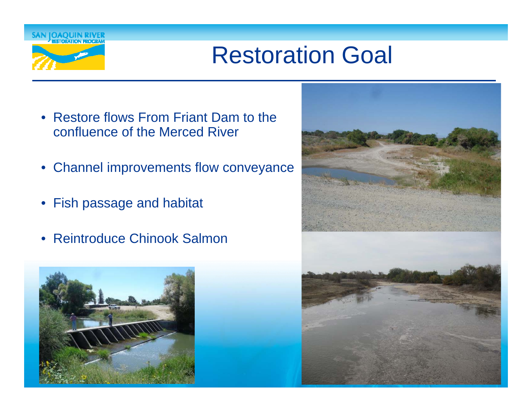

# Restoration Goal

- Restore flows From Friant Dam to the confluence of the Merced River
- Channel improvements flow conveyance
- Fish passage and habitat
- Reintroduce Chinook Salmon



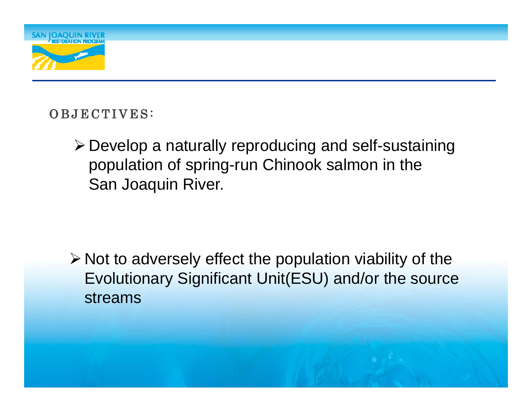

#### OBJECTIVES:

Develop a naturally reproducing and self-sustaining population of spring-run Chinook salmon in the San Joaquin River.

 $\triangleright$  Not to adversely effect the population viability of the Evolutionary Significant Unit(ESU) and/or the source streams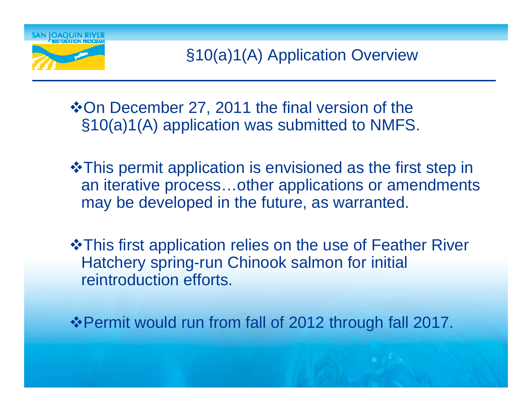

 $\triangle$ **On December 27, 2011 the final version of the**  $§10(a)1(A)$  application was submitted to NMFS.

- **\*This permit application is envisioned as the first step in** an iterative process…other applications or amendments may be developed in the future, as warranted.
- This first application relies on the use of Feather River Hatchery spring-run Chinook salmon for initial reintroduction efforts.

**\*Permit would run from fall of 2012 through fall 2017.**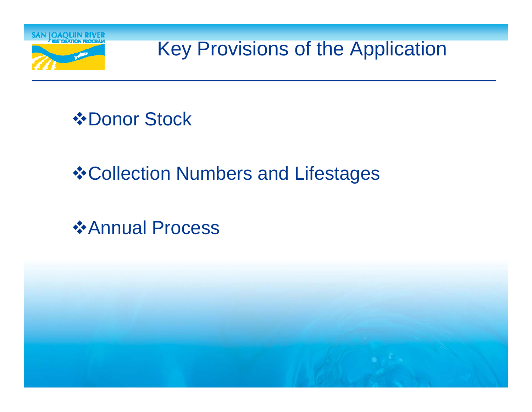

Key Provisions of the Application

*<b>☆Donor Stock* 

## **❖ Collection Numbers and Lifestages**

*❖***Annual Process** 

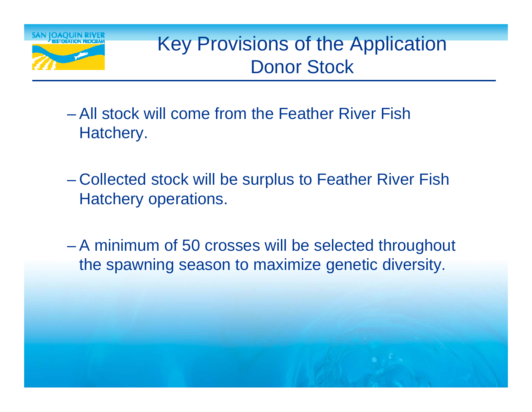

## Key Provisions of the Application Donor Stock

- All stock will come from the Feather River Fish Hatchery.
- –- Collected stock will be surplus to Feather River Fish Hatchery operations.
- A minimum of 50 crosses will be selected throughout the spawning season to maximize genetic diversity.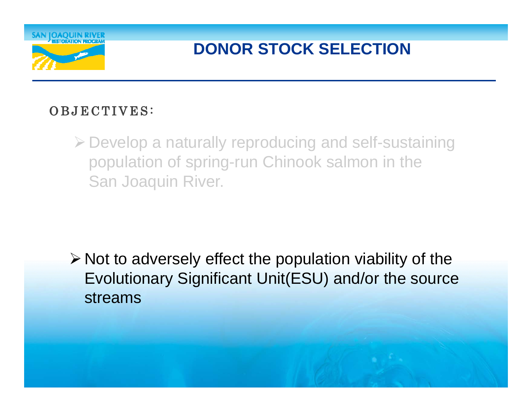

### **DONOR STOCK SELECTION**

#### OBJECTIVES:

Develop a naturally reproducing and self-sustaining population of spring-run Chinook salmon in the San Joaquin River.

 $\triangleright$  Not to adversely effect the population viability of the Evolutionary Significant Unit(ESU) and/or the source streams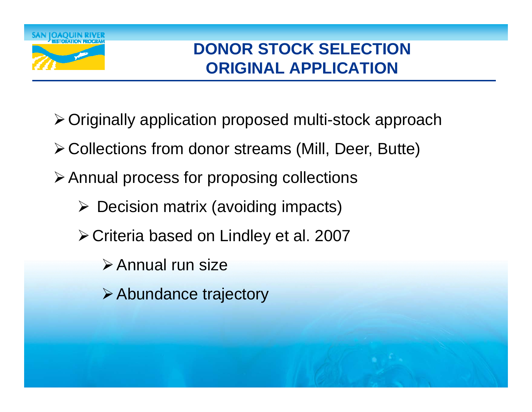

### **DONOR STOCK SELECTIONORIGINAL APPLICATION**

- ≻ Originally application proposed multi-stock approach
- Collections from donor streams (Mill, Deer, Butte)
- Annual process for proposing collections
	- Decision matrix (avoiding impacts)
	- ≻ Criteria based on Lindley et al. 2007
		- Annual run size
		- **≻ Abundance trajectory**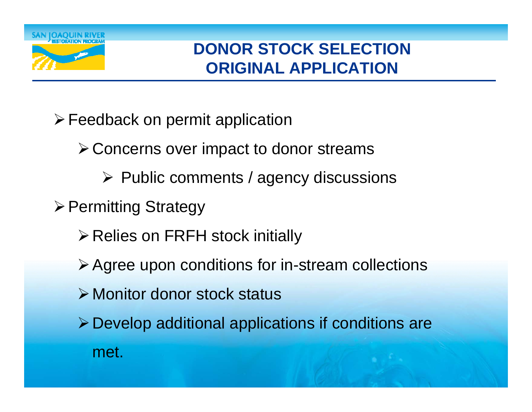

### **DONOR STOCK SELECTIONORIGINAL APPLICATION**

- Feedback on permit application
	- Concerns over impact to donor streams
		- $\triangleright$  Public comments / agency discussions
- $\triangleright$  Permitting Strategy
	- $\triangleright$  Relies on FRFH stock initially
	- $\triangleright$  Agree upon conditions for in-stream collections
	- **≻ Monitor donor stock status**
	- $\triangleright$  Develop additional applications if conditions are met.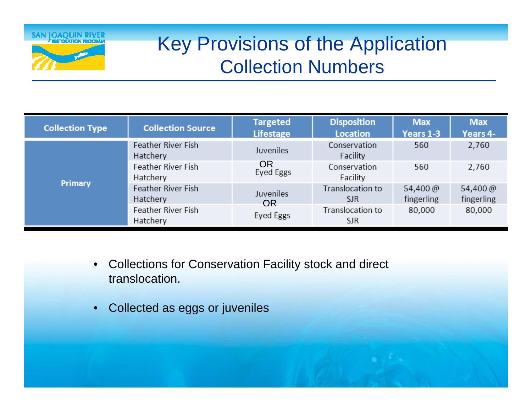

## Key Provisions of the Application Collection Numbers

| <b>Collection Type</b> | <b>Collection Source</b>       | <b>Targeted</b><br><b>Lifestage</b> | <b>Disposition</b><br><b>Location</b> | <b>Max</b><br><b>Years 1-3</b> | <b>Max</b><br>Years 4- |
|------------------------|--------------------------------|-------------------------------------|---------------------------------------|--------------------------------|------------------------|
| Primary                | Feather River Fish<br>Hatchery | Juveniles                           | Conservation<br>Facility              | 560                            | 2,760                  |
|                        | Feather River Fish<br>Hatchery | <b>OR</b><br>Eyed Eggs              | Conservation<br>Facility              | 560                            | 2,760                  |
|                        | Feather River Fish<br>Hatchery | Juveniles<br><b>OR</b>              | Translocation to<br><b>SJR</b>        | 54,400 @<br>fingerling         | 54,400 @<br>fingerling |
|                        | Feather River Fish<br>Hatchery | Eyed Eggs                           | Translocation to<br><b>SJR</b>        | 80,000                         | 80,000                 |

- $\bullet$  Collections for Conservation Facility stock and direct translocation.
- Collected as eggs or juveniles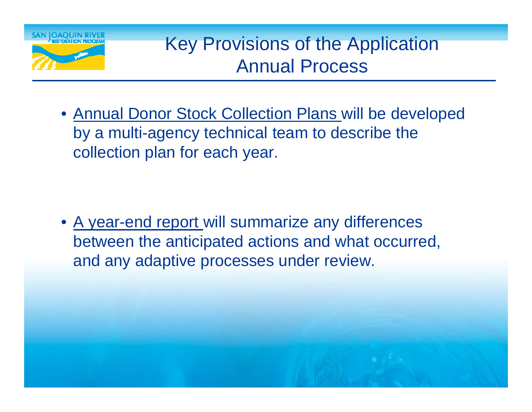

### Key Provisions of the Application Annual Process

• Annual Donor Stock Collection Plans will be developed by a multi-agency technical team to describe the collection plan for each year.

• A year-end report will summarize any differences between the anticipated actions and what occurred, and any adaptive processes under review.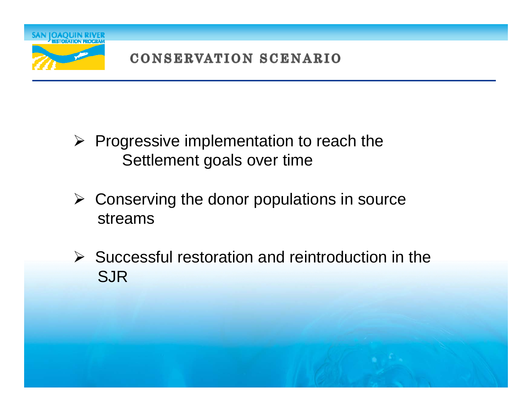

- $\triangleright$  Progressive implementation to reach the Settlement goals over time
- $\triangleright$  Conserving the donor populations in source streams
- $\triangleright$  Successful restoration and reintroduction in the SJR